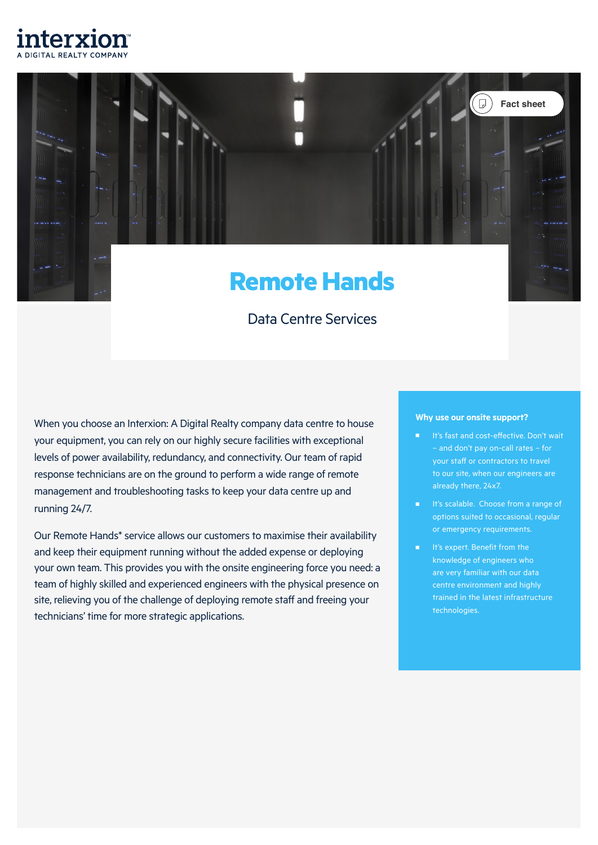

# **Remote Hands**

# Data Centre Services

When you choose an Interxion: A Digital Realty company data centre to house your equipment, you can rely on our highly secure facilities with exceptional levels of power availability, redundancy, and connectivity. Our team of rapid response technicians are on the ground to perform a wide range of remote management and troubleshooting tasks to keep your data centre up and running 24/7.

Our Remote Hands\* service allows our customers to maximise their availability and keep their equipment running without the added expense or deploying your own team. This provides you with the onsite engineering force you need: a team of highly skilled and experienced engineers with the physical presence on site, relieving you of the challenge of deploying remote staff and freeing your technicians' time for more strategic applications.

#### **Why use our onsite support?**

It's fast and cost-effective. Don't wait – and don't pay on-call rates – for your staff or contractors to travel to our site, when our engineers are already there, 24x7.

**Fact sheet**

 $\mathcal{L}(\mathbb{D})$ 

- It's scalable. Choose from a range of options suited to occasional, regular or emergency requirements.
- It's expert. Benefit from the knowledge of engineers who are very familiar with our data centre environment and highly technologies.